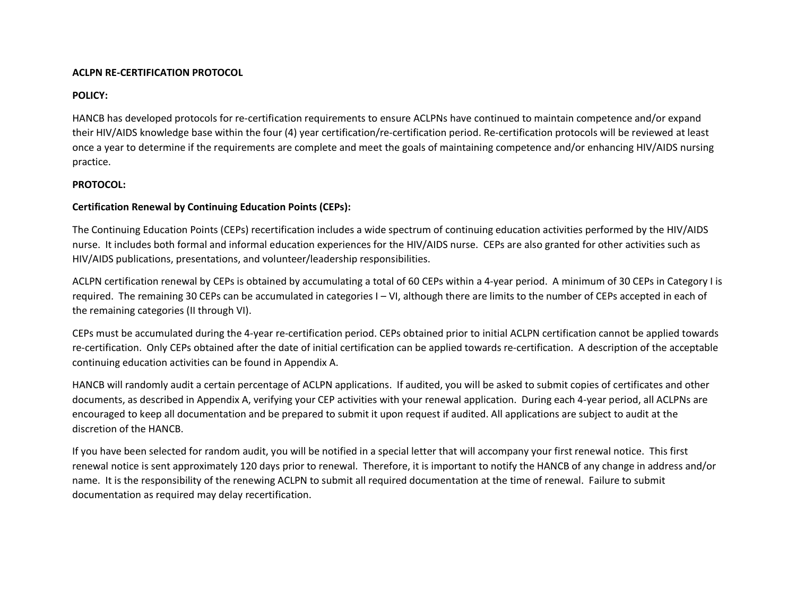#### **ACLPN RE-CERTIFICATION PROTOCOL**

#### **POLICY:**

HANCB has developed protocols for re-certification requirements to ensure ACLPNs have continued to maintain competence and/or expand their HIV/AIDS knowledge base within the four (4) year certification/re-certification period. Re-certification protocols will be reviewed at least once a year to determine if the requirements are complete and meet the goals of maintaining competence and/or enhancing HIV/AIDS nursing practice.

## **PROTOCOL:**

## **Certification Renewal by Continuing Education Points (CEPs):**

The Continuing Education Points (CEPs) recertification includes a wide spectrum of continuing education activities performed by the HIV/AIDS nurse. It includes both formal and informal education experiences for the HIV/AIDS nurse. CEPs are also granted for other activities such as HIV/AIDS publications, presentations, and volunteer/leadership responsibilities.

ACLPN certification renewal by CEPs is obtained by accumulating a total of 60 CEPs within a 4-year period. A minimum of 30 CEPs in Category I is required. The remaining 30 CEPs can be accumulated in categories I – VI, although there are limits to the number of CEPs accepted in each of the remaining categories (II through VI).

CEPs must be accumulated during the 4-year re-certification period. CEPs obtained prior to initial ACLPN certification cannot be applied towards re-certification. Only CEPs obtained after the date of initial certification can be applied towards re-certification. A description of the acceptable continuing education activities can be found in Appendix A.

HANCB will randomly audit a certain percentage of ACLPN applications. If audited, you will be asked to submit copies of certificates and other documents, as described in Appendix A, verifying your CEP activities with your renewal application. During each 4-year period, all ACLPNs are encouraged to keep all documentation and be prepared to submit it upon request if audited. All applications are subject to audit at the discretion of the HANCB.

If you have been selected for random audit, you will be notified in a special letter that will accompany your first renewal notice. This first renewal notice is sent approximately 120 days prior to renewal. Therefore, it is important to notify the HANCB of any change in address and/or name. It is the responsibility of the renewing ACLPN to submit all required documentation at the time of renewal. Failure to submit documentation as required may delay recertification.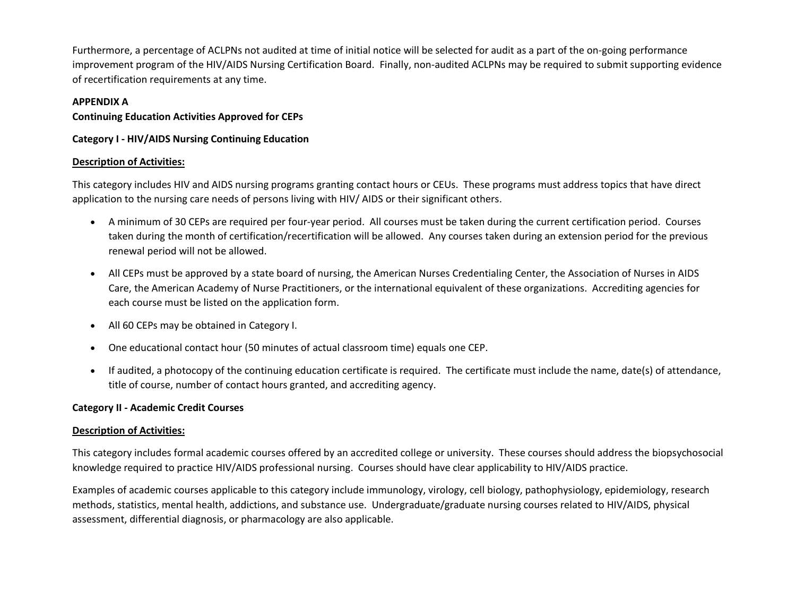Furthermore, a percentage of ACLPNs not audited at time of initial notice will be selected for audit as a part of the on-going performance improvement program of the HIV/AIDS Nursing Certification Board. Finally, non-audited ACLPNs may be required to submit supporting evidence of recertification requirements at any time.

## **APPENDIX A**

## **Continuing Education Activities Approved for CEPs**

**Category I - HIV/AIDS Nursing Continuing Education**

## **Description of Activities:**

This category includes HIV and AIDS nursing programs granting contact hours or CEUs. These programs must address topics that have direct application to the nursing care needs of persons living with HIV/ AIDS or their significant others.

- A minimum of 30 CEPs are required per four-year period. All courses must be taken during the current certification period. Courses taken during the month of certification/recertification will be allowed. Any courses taken during an extension period for the previous renewal period will not be allowed.
- All CEPs must be approved by a state board of nursing, the American Nurses Credentialing Center, the Association of Nurses in AIDS Care, the American Academy of Nurse Practitioners, or the international equivalent of these organizations. Accrediting agencies for each course must be listed on the application form.
- All 60 CEPs may be obtained in Category I.
- One educational contact hour (50 minutes of actual classroom time) equals one CEP.
- If audited, a photocopy of the continuing education certificate is required. The certificate must include the name, date(s) of attendance, title of course, number of contact hours granted, and accrediting agency.

# **Category II - Academic Credit Courses**

#### **Description of Activities:**

This category includes formal academic courses offered by an accredited college or university. These courses should address the biopsychosocial knowledge required to practice HIV/AIDS professional nursing. Courses should have clear applicability to HIV/AIDS practice.

Examples of academic courses applicable to this category include immunology, virology, cell biology, pathophysiology, epidemiology, research methods, statistics, mental health, addictions, and substance use. Undergraduate/graduate nursing courses related to HIV/AIDS, physical assessment, differential diagnosis, or pharmacology are also applicable.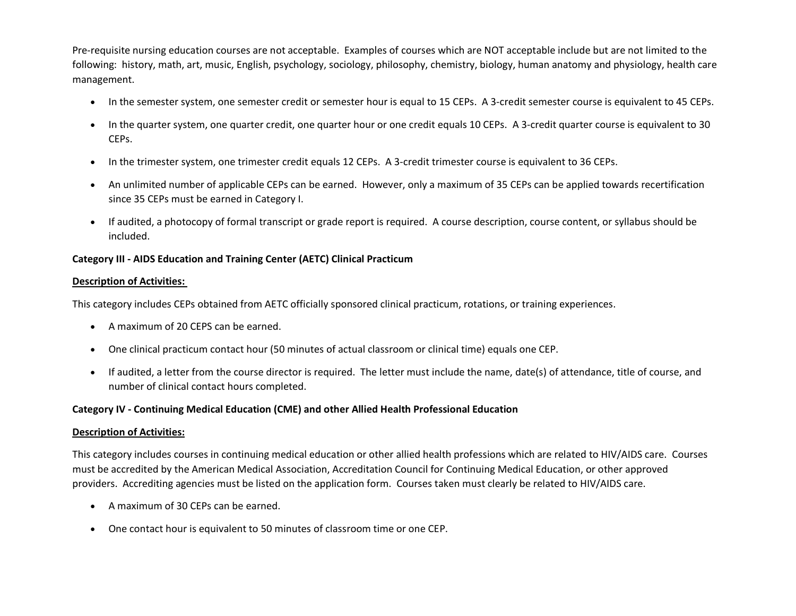Pre-requisite nursing education courses are not acceptable. Examples of courses which are NOT acceptable include but are not limited to the following: history, math, art, music, English, psychology, sociology, philosophy, chemistry, biology, human anatomy and physiology, health care management.

- In the semester system, one semester credit or semester hour is equal to 15 CEPs. A 3-credit semester course is equivalent to 45 CEPs.
- In the quarter system, one quarter credit, one quarter hour or one credit equals 10 CEPs. A 3-credit quarter course is equivalent to 30 CEPs.
- In the trimester system, one trimester credit equals 12 CEPs. A 3-credit trimester course is equivalent to 36 CEPs.
- An unlimited number of applicable CEPs can be earned. However, only a maximum of 35 CEPs can be applied towards recertification since 35 CEPs must be earned in Category I.
- If audited, a photocopy of formal transcript or grade report is required. A course description, course content, or syllabus should be included.

## **Category III - AIDS Education and Training Center (AETC) Clinical Practicum**

## **Description of Activities:**

This category includes CEPs obtained from AETC officially sponsored clinical practicum, rotations, or training experiences.

- A maximum of 20 CEPS can be earned.
- One clinical practicum contact hour (50 minutes of actual classroom or clinical time) equals one CEP.
- If audited, a letter from the course director is required. The letter must include the name, date(s) of attendance, title of course, and number of clinical contact hours completed.

#### **Category IV - Continuing Medical Education (CME) and other Allied Health Professional Education**

#### **Description of Activities:**

This category includes courses in continuing medical education or other allied health professions which are related to HIV/AIDS care. Courses must be accredited by the American Medical Association, Accreditation Council for Continuing Medical Education, or other approved providers. Accrediting agencies must be listed on the application form. Courses taken must clearly be related to HIV/AIDS care.

- A maximum of 30 CEPs can be earned.
- One contact hour is equivalent to 50 minutes of classroom time or one CEP.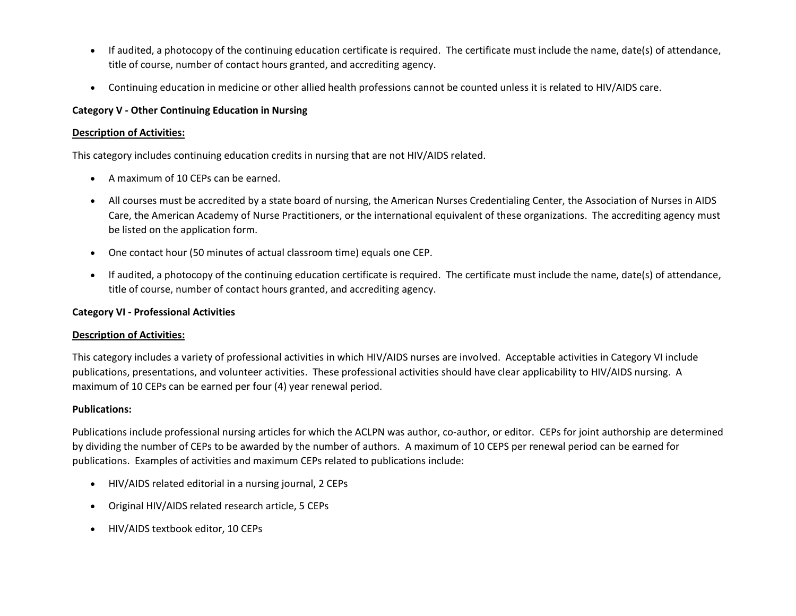- If audited, a photocopy of the continuing education certificate is required. The certificate must include the name, date(s) of attendance, title of course, number of contact hours granted, and accrediting agency.
- Continuing education in medicine or other allied health professions cannot be counted unless it is related to HIV/AIDS care.

# **Category V - Other Continuing Education in Nursing**

#### **Description of Activities:**

This category includes continuing education credits in nursing that are not HIV/AIDS related.

- A maximum of 10 CEPs can be earned.
- All courses must be accredited by a state board of nursing, the American Nurses Credentialing Center, the Association of Nurses in AIDS Care, the American Academy of Nurse Practitioners, or the international equivalent of these organizations. The accrediting agency must be listed on the application form.
- One contact hour (50 minutes of actual classroom time) equals one CEP.
- If audited, a photocopy of the continuing education certificate is required. The certificate must include the name, date(s) of attendance, title of course, number of contact hours granted, and accrediting agency.

# **Category VI - Professional Activities**

# **Description of Activities:**

This category includes a variety of professional activities in which HIV/AIDS nurses are involved. Acceptable activities in Category VI include publications, presentations, and volunteer activities. These professional activities should have clear applicability to HIV/AIDS nursing. A maximum of 10 CEPs can be earned per four (4) year renewal period.

# **Publications:**

Publications include professional nursing articles for which the ACLPN was author, co-author, or editor. CEPs for joint authorship are determined by dividing the number of CEPs to be awarded by the number of authors. A maximum of 10 CEPS per renewal period can be earned for publications. Examples of activities and maximum CEPs related to publications include:

- HIV/AIDS related editorial in a nursing journal, 2 CEPs
- Original HIV/AIDS related research article, 5 CEPs
- HIV/AIDS textbook editor, 10 CEPs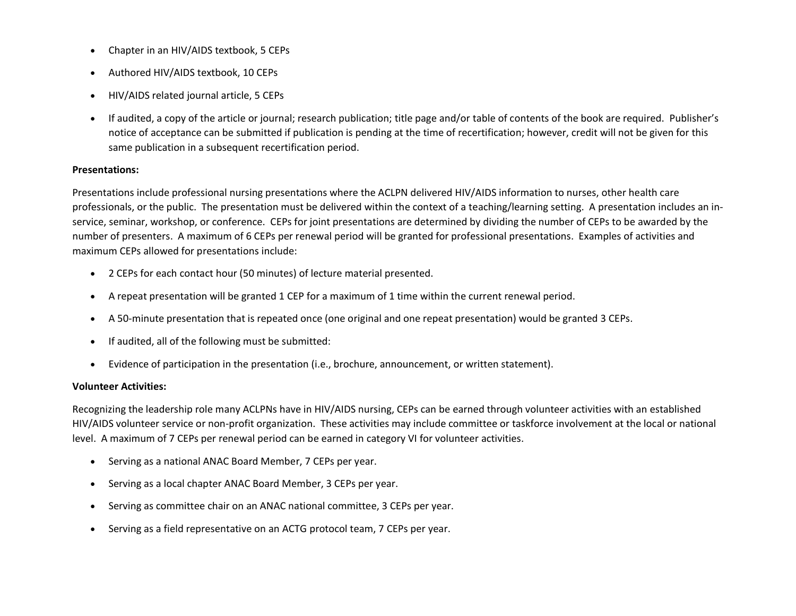- Chapter in an HIV/AIDS textbook, 5 CEPs
- Authored HIV/AIDS textbook, 10 CEPs
- HIV/AIDS related journal article, 5 CEPs
- If audited, a copy of the article or journal; research publication; title page and/or table of contents of the book are required. Publisher's notice of acceptance can be submitted if publication is pending at the time of recertification; however, credit will not be given for this same publication in a subsequent recertification period.

#### **Presentations:**

Presentations include professional nursing presentations where the ACLPN delivered HIV/AIDS information to nurses, other health care professionals, or the public. The presentation must be delivered within the context of a teaching/learning setting. A presentation includes an inservice, seminar, workshop, or conference. CEPs for joint presentations are determined by dividing the number of CEPs to be awarded by the number of presenters. A maximum of 6 CEPs per renewal period will be granted for professional presentations. Examples of activities and maximum CEPs allowed for presentations include:

- 2 CEPs for each contact hour (50 minutes) of lecture material presented.
- A repeat presentation will be granted 1 CEP for a maximum of 1 time within the current renewal period.
- A 50-minute presentation that is repeated once (one original and one repeat presentation) would be granted 3 CEPs.
- If audited, all of the following must be submitted:
- Evidence of participation in the presentation (i.e., brochure, announcement, or written statement).

#### **Volunteer Activities:**

Recognizing the leadership role many ACLPNs have in HIV/AIDS nursing, CEPs can be earned through volunteer activities with an established HIV/AIDS volunteer service or non-profit organization. These activities may include committee or taskforce involvement at the local or national level. A maximum of 7 CEPs per renewal period can be earned in category VI for volunteer activities.

- Serving as a national ANAC Board Member, 7 CEPs per year.
- Serving as a local chapter ANAC Board Member, 3 CEPs per year.
- Serving as committee chair on an ANAC national committee, 3 CEPs per year.
- Serving as a field representative on an ACTG protocol team, 7 CEPs per year.